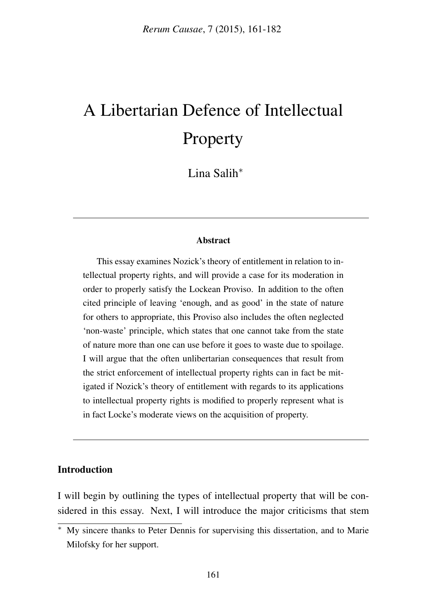# A Libertarian Defence of Intellectual Property

Lina Salih<sup>\*</sup>

## **Abstract**

This essay examines Nozick's theory of entitlement in relation to intellectual property rights, and will provide a case for its moderation in order to properly satisfy the Lockean Proviso. In addition to the often cited principle of leaving 'enough, and as good' in the state of nature for others to appropriate, this Proviso also includes the often neglected 'non-waste' principle, which states that one cannot take from the state of nature more than one can use before it goes to waste due to spoilage. I will argue that the often unlibertarian consequences that result from the strict enforcement of intellectual property rights can in fact be mitigated if Nozick's theory of entitlement with regards to its applications to intellectual property rights is modified to properly represent what is in fact Locke's moderate views on the acquisition of property.

## Introduction

I will begin by outlining the types of intellectual property that will be considered in this essay. Next, I will introduce the major criticisms that stem

<sup>⇤</sup> My sincere thanks to Peter Dennis for supervising this dissertation, and to Marie Milofsky for her support.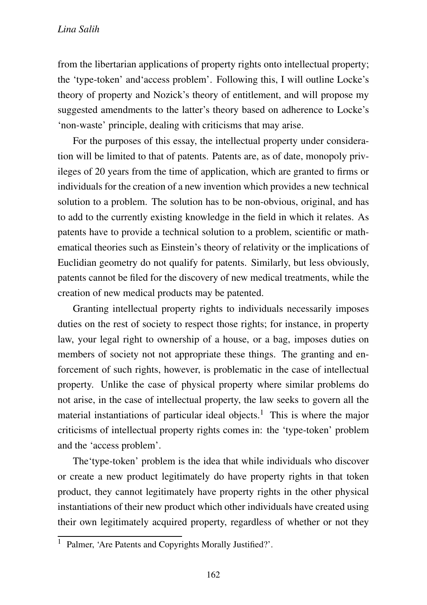from the libertarian applications of property rights onto intellectual property; the 'type-token' and'access problem'. Following this, I will outline Locke's theory of property and Nozick's theory of entitlement, and will propose my suggested amendments to the latter's theory based on adherence to Locke's 'non-waste' principle, dealing with criticisms that may arise.

For the purposes of this essay, the intellectual property under consideration will be limited to that of patents. Patents are, as of date, monopoly privileges of 20 years from the time of application, which are granted to firms or individuals for the creation of a new invention which provides a new technical solution to a problem. The solution has to be non-obvious, original, and has to add to the currently existing knowledge in the field in which it relates. As patents have to provide a technical solution to a problem, scientific or mathematical theories such as Einstein's theory of relativity or the implications of Euclidian geometry do not qualify for patents. Similarly, but less obviously, patents cannot be filed for the discovery of new medical treatments, while the creation of new medical products may be patented.

Granting intellectual property rights to individuals necessarily imposes duties on the rest of society to respect those rights; for instance, in property law, your legal right to ownership of a house, or a bag, imposes duties on members of society not not appropriate these things. The granting and enforcement of such rights, however, is problematic in the case of intellectual property. Unlike the case of physical property where similar problems do not arise, in the case of intellectual property, the law seeks to govern all the material instantiations of particular ideal objects.<sup>1</sup> This is where the major criticisms of intellectual property rights comes in: the 'type-token' problem and the 'access problem'.

The'type-token' problem is the idea that while individuals who discover or create a new product legitimately do have property rights in that token product, they cannot legitimately have property rights in the other physical instantiations of their new product which other individuals have created using their own legitimately acquired property, regardless of whether or not they

<sup>&</sup>lt;sup>1</sup> Palmer, 'Are Patents and Copyrights Morally Justified?'.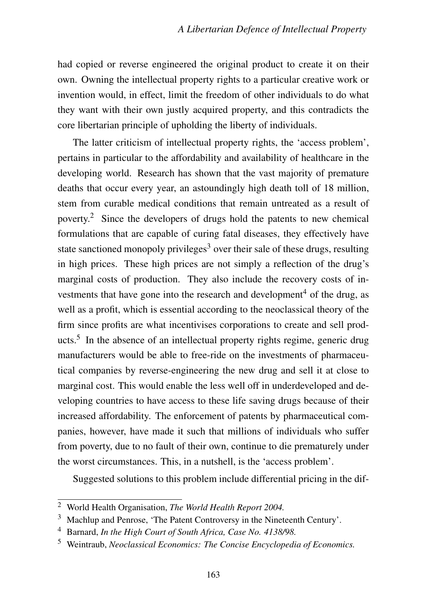had copied or reverse engineered the original product to create it on their own. Owning the intellectual property rights to a particular creative work or invention would, in effect, limit the freedom of other individuals to do what they want with their own justly acquired property, and this contradicts the core libertarian principle of upholding the liberty of individuals.

The latter criticism of intellectual property rights, the 'access problem', pertains in particular to the affordability and availability of healthcare in the developing world. Research has shown that the vast majority of premature deaths that occur every year, an astoundingly high death toll of 18 million, stem from curable medical conditions that remain untreated as a result of poverty.<sup>2</sup> Since the developers of drugs hold the patents to new chemical formulations that are capable of curing fatal diseases, they effectively have state sanctioned monopoly privileges<sup>3</sup> over their sale of these drugs, resulting in high prices. These high prices are not simply a reflection of the drug's marginal costs of production. They also include the recovery costs of investments that have gone into the research and development<sup>4</sup> of the drug, as well as a profit, which is essential according to the neoclassical theory of the firm since profits are what incentivises corporations to create and sell products.<sup>5</sup> In the absence of an intellectual property rights regime, generic drug manufacturers would be able to free-ride on the investments of pharmaceutical companies by reverse-engineering the new drug and sell it at close to marginal cost. This would enable the less well off in underdeveloped and developing countries to have access to these life saving drugs because of their increased affordability. The enforcement of patents by pharmaceutical companies, however, have made it such that millions of individuals who suffer from poverty, due to no fault of their own, continue to die prematurely under the worst circumstances. This, in a nutshell, is the 'access problem'.

Suggested solutions to this problem include differential pricing in the dif-

<sup>2</sup> World Health Organisation, *The World Health Report 2004.*

<sup>3</sup> Machlup and Penrose, 'The Patent Controversy in the Nineteenth Century'.

<sup>4</sup> Barnard, *In the High Court of South Africa, Case No. 4138/98.*

<sup>5</sup> Weintraub, *Neoclassical Economics: The Concise Encyclopedia of Economics.*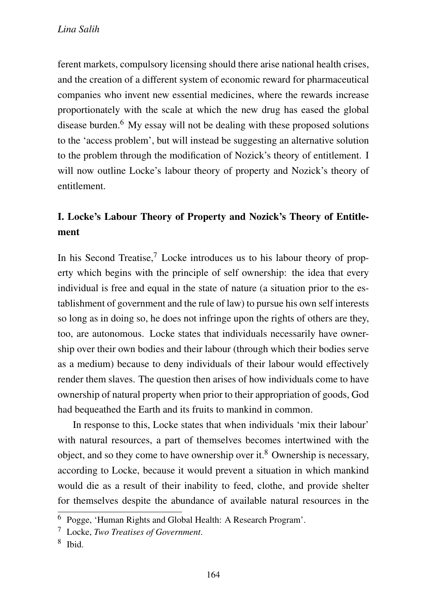ferent markets, compulsory licensing should there arise national health crises, and the creation of a different system of economic reward for pharmaceutical companies who invent new essential medicines, where the rewards increase proportionately with the scale at which the new drug has eased the global disease burden.<sup>6</sup> My essay will not be dealing with these proposed solutions to the 'access problem', but will instead be suggesting an alternative solution to the problem through the modification of Nozick's theory of entitlement. I will now outline Locke's labour theory of property and Nozick's theory of entitlement.

## I. Locke's Labour Theory of Property and Nozick's Theory of Entitlement

In his Second Treatise,<sup>7</sup> Locke introduces us to his labour theory of property which begins with the principle of self ownership: the idea that every individual is free and equal in the state of nature (a situation prior to the establishment of government and the rule of law) to pursue his own self interests so long as in doing so, he does not infringe upon the rights of others are they, too, are autonomous. Locke states that individuals necessarily have ownership over their own bodies and their labour (through which their bodies serve as a medium) because to deny individuals of their labour would effectively render them slaves. The question then arises of how individuals come to have ownership of natural property when prior to their appropriation of goods, God had bequeathed the Earth and its fruits to mankind in common.

In response to this, Locke states that when individuals 'mix their labour' with natural resources, a part of themselves becomes intertwined with the object, and so they come to have ownership over it.<sup>8</sup> Ownership is necessary, according to Locke, because it would prevent a situation in which mankind would die as a result of their inability to feed, clothe, and provide shelter for themselves despite the abundance of available natural resources in the

<sup>6</sup> Pogge, 'Human Rights and Global Health: A Research Program'.

<sup>7</sup> Locke, *Two Treatises of Government*.

 $8$  Ibid.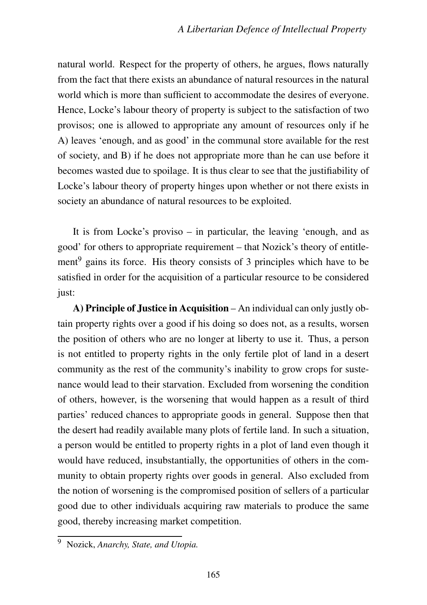natural world. Respect for the property of others, he argues, flows naturally from the fact that there exists an abundance of natural resources in the natural world which is more than sufficient to accommodate the desires of everyone. Hence, Locke's labour theory of property is subject to the satisfaction of two provisos; one is allowed to appropriate any amount of resources only if he A) leaves 'enough, and as good' in the communal store available for the rest of society, and B) if he does not appropriate more than he can use before it becomes wasted due to spoilage. It is thus clear to see that the justifiability of Locke's labour theory of property hinges upon whether or not there exists in society an abundance of natural resources to be exploited.

It is from Locke's proviso – in particular, the leaving 'enough, and as good' for others to appropriate requirement – that Nozick's theory of entitlement<sup>9</sup> gains its force. His theory consists of 3 principles which have to be satisfied in order for the acquisition of a particular resource to be considered just:

A) Principle of Justice in Acquisition – An individual can only justly obtain property rights over a good if his doing so does not, as a results, worsen the position of others who are no longer at liberty to use it. Thus, a person is not entitled to property rights in the only fertile plot of land in a desert community as the rest of the community's inability to grow crops for sustenance would lead to their starvation. Excluded from worsening the condition of others, however, is the worsening that would happen as a result of third parties' reduced chances to appropriate goods in general. Suppose then that the desert had readily available many plots of fertile land. In such a situation, a person would be entitled to property rights in a plot of land even though it would have reduced, insubstantially, the opportunities of others in the community to obtain property rights over goods in general. Also excluded from the notion of worsening is the compromised position of sellers of a particular good due to other individuals acquiring raw materials to produce the same good, thereby increasing market competition.

<sup>9</sup> Nozick, *Anarchy, State, and Utopia.*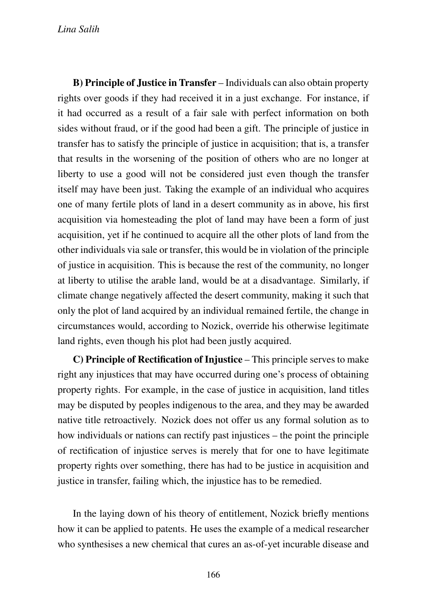*Lina Salih*

B) Principle of Justice in Transfer – Individuals can also obtain property rights over goods if they had received it in a just exchange. For instance, if it had occurred as a result of a fair sale with perfect information on both sides without fraud, or if the good had been a gift. The principle of justice in transfer has to satisfy the principle of justice in acquisition; that is, a transfer that results in the worsening of the position of others who are no longer at liberty to use a good will not be considered just even though the transfer itself may have been just. Taking the example of an individual who acquires one of many fertile plots of land in a desert community as in above, his first acquisition via homesteading the plot of land may have been a form of just acquisition, yet if he continued to acquire all the other plots of land from the other individuals via sale or transfer, this would be in violation of the principle of justice in acquisition. This is because the rest of the community, no longer at liberty to utilise the arable land, would be at a disadvantage. Similarly, if climate change negatively affected the desert community, making it such that only the plot of land acquired by an individual remained fertile, the change in circumstances would, according to Nozick, override his otherwise legitimate land rights, even though his plot had been justly acquired.

C) Principle of Rectification of Injustice – This principle serves to make right any injustices that may have occurred during one's process of obtaining property rights. For example, in the case of justice in acquisition, land titles may be disputed by peoples indigenous to the area, and they may be awarded native title retroactively. Nozick does not offer us any formal solution as to how individuals or nations can rectify past injustices – the point the principle of rectification of injustice serves is merely that for one to have legitimate property rights over something, there has had to be justice in acquisition and justice in transfer, failing which, the injustice has to be remedied.

In the laying down of his theory of entitlement, Nozick briefly mentions how it can be applied to patents. He uses the example of a medical researcher who synthesises a new chemical that cures an as-of-yet incurable disease and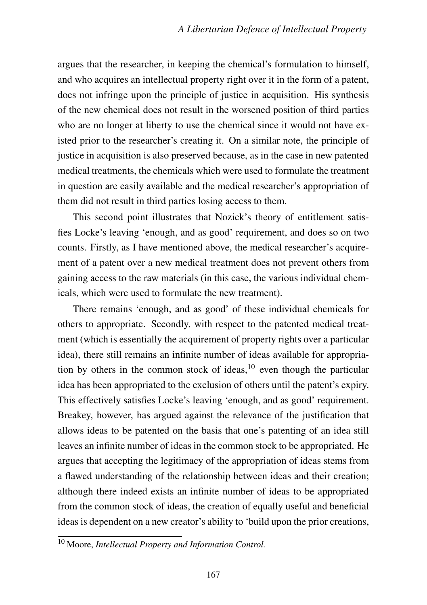argues that the researcher, in keeping the chemical's formulation to himself, and who acquires an intellectual property right over it in the form of a patent, does not infringe upon the principle of justice in acquisition. His synthesis of the new chemical does not result in the worsened position of third parties who are no longer at liberty to use the chemical since it would not have existed prior to the researcher's creating it. On a similar note, the principle of justice in acquisition is also preserved because, as in the case in new patented medical treatments, the chemicals which were used to formulate the treatment in question are easily available and the medical researcher's appropriation of them did not result in third parties losing access to them.

This second point illustrates that Nozick's theory of entitlement satisfies Locke's leaving 'enough, and as good' requirement, and does so on two counts. Firstly, as I have mentioned above, the medical researcher's acquirement of a patent over a new medical treatment does not prevent others from gaining access to the raw materials (in this case, the various individual chemicals, which were used to formulate the new treatment).

There remains 'enough, and as good' of these individual chemicals for others to appropriate. Secondly, with respect to the patented medical treatment (which is essentially the acquirement of property rights over a particular idea), there still remains an infinite number of ideas available for appropriation by others in the common stock of ideas,  $10$  even though the particular idea has been appropriated to the exclusion of others until the patent's expiry. This effectively satisfies Locke's leaving 'enough, and as good' requirement. Breakey, however, has argued against the relevance of the justification that allows ideas to be patented on the basis that one's patenting of an idea still leaves an infinite number of ideas in the common stock to be appropriated. He argues that accepting the legitimacy of the appropriation of ideas stems from a flawed understanding of the relationship between ideas and their creation; although there indeed exists an infinite number of ideas to be appropriated from the common stock of ideas, the creation of equally useful and beneficial ideas is dependent on a new creator's ability to 'build upon the prior creations,

<sup>10</sup> Moore, *Intellectual Property and Information Control.*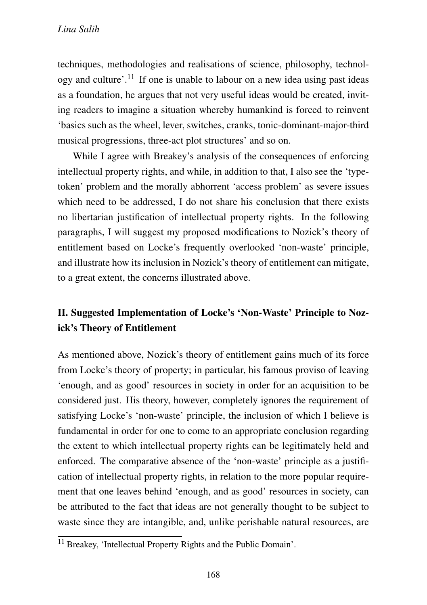techniques, methodologies and realisations of science, philosophy, technology and culture'.<sup>11</sup> If one is unable to labour on a new idea using past ideas as a foundation, he argues that not very useful ideas would be created, inviting readers to imagine a situation whereby humankind is forced to reinvent 'basics such as the wheel, lever, switches, cranks, tonic-dominant-major-third musical progressions, three-act plot structures' and so on.

While I agree with Breakey's analysis of the consequences of enforcing intellectual property rights, and while, in addition to that, I also see the 'typetoken' problem and the morally abhorrent 'access problem' as severe issues which need to be addressed, I do not share his conclusion that there exists no libertarian justification of intellectual property rights. In the following paragraphs, I will suggest my proposed modifications to Nozick's theory of entitlement based on Locke's frequently overlooked 'non-waste' principle, and illustrate how its inclusion in Nozick's theory of entitlement can mitigate, to a great extent, the concerns illustrated above.

## II. Suggested Implementation of Locke's 'Non-Waste' Principle to Nozick's Theory of Entitlement

As mentioned above, Nozick's theory of entitlement gains much of its force from Locke's theory of property; in particular, his famous proviso of leaving 'enough, and as good' resources in society in order for an acquisition to be considered just. His theory, however, completely ignores the requirement of satisfying Locke's 'non-waste' principle, the inclusion of which I believe is fundamental in order for one to come to an appropriate conclusion regarding the extent to which intellectual property rights can be legitimately held and enforced. The comparative absence of the 'non-waste' principle as a justification of intellectual property rights, in relation to the more popular requirement that one leaves behind 'enough, and as good' resources in society, can be attributed to the fact that ideas are not generally thought to be subject to waste since they are intangible, and, unlike perishable natural resources, are

<sup>11</sup> Breakey, 'Intellectual Property Rights and the Public Domain'.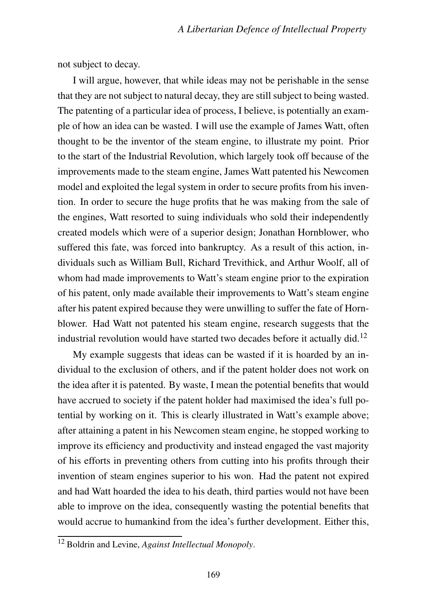not subject to decay.

I will argue, however, that while ideas may not be perishable in the sense that they are not subject to natural decay, they are still subject to being wasted. The patenting of a particular idea of process, I believe, is potentially an example of how an idea can be wasted. I will use the example of James Watt, often thought to be the inventor of the steam engine, to illustrate my point. Prior to the start of the Industrial Revolution, which largely took off because of the improvements made to the steam engine, James Watt patented his Newcomen model and exploited the legal system in order to secure profits from his invention. In order to secure the huge profits that he was making from the sale of the engines, Watt resorted to suing individuals who sold their independently created models which were of a superior design; Jonathan Hornblower, who suffered this fate, was forced into bankruptcy. As a result of this action, individuals such as William Bull, Richard Trevithick, and Arthur Woolf, all of whom had made improvements to Watt's steam engine prior to the expiration of his patent, only made available their improvements to Watt's steam engine after his patent expired because they were unwilling to suffer the fate of Hornblower. Had Watt not patented his steam engine, research suggests that the industrial revolution would have started two decades before it actually did.<sup>12</sup>

My example suggests that ideas can be wasted if it is hoarded by an individual to the exclusion of others, and if the patent holder does not work on the idea after it is patented. By waste, I mean the potential benefits that would have accrued to society if the patent holder had maximised the idea's full potential by working on it. This is clearly illustrated in Watt's example above; after attaining a patent in his Newcomen steam engine, he stopped working to improve its efficiency and productivity and instead engaged the vast majority of his efforts in preventing others from cutting into his profits through their invention of steam engines superior to his won. Had the patent not expired and had Watt hoarded the idea to his death, third parties would not have been able to improve on the idea, consequently wasting the potential benefits that would accrue to humankind from the idea's further development. Either this,

<sup>12</sup> Boldrin and Levine, *Against Intellectual Monopoly*.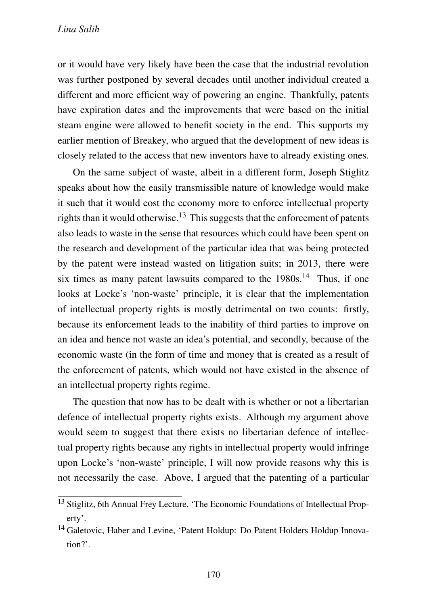or it would have very likely have been the case that the industrial revolution was further postponed by several decades until another individual created a different and more efficient way of powering an engine. Thankfully, patents have expiration dates and the improvements that were based on the initial steam engine were allowed to benefit society in the end. This supports my earlier mention of Breakey, who argued that the development of new ideas is closely related to the access that new inventors have to already existing ones.

On the same subject of waste, albeit in a different form, Joseph Stiglitz speaks about how the easily transmissible nature of knowledge would make it such that it would cost the economy more to enforce intellectual property rights than it would otherwise.<sup>13</sup> This suggests that the enforcement of patents also leads to waste in the sense that resources which could have been spent on the research and development of the particular idea that was being protected by the patent were instead wasted on litigation suits; in 2013, there were six times as many patent lawsuits compared to the  $1980s$ <sup>14</sup> Thus, if one looks at Locke's 'non-waste' principle, it is clear that the implementation of intellectual property rights is mostly detrimental on two counts: firstly, because its enforcement leads to the inability of third parties to improve on an idea and hence not waste an idea's potential, and secondly, because of the economic waste (in the form of time and money that is created as a result of the enforcement of patents, which would not have existed in the absence of an intellectual property rights regime.

The question that now has to be dealt with is whether or not a libertarian defence of intellectual property rights exists. Although my argument above would seem to suggest that there exists no libertarian defence of intellectual property rights because any rights in intellectual property would infringe upon Locke's 'non-waste' principle, I will now provide reasons why this is not necessarily the case. Above, I argued that the patenting of a particular

<sup>13</sup> Stiglitz, 6th Annual Frey Lecture, 'The Economic Foundations of Intellectual Property'.

<sup>&</sup>lt;sup>14</sup> Galetovic, Haber and Levine, 'Patent Holdup: Do Patent Holders Holdup Innovation?'.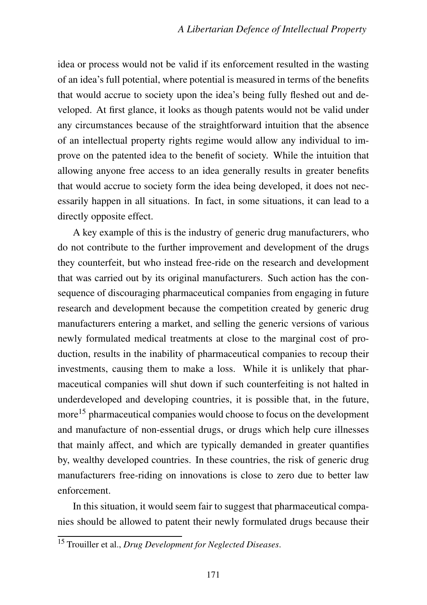idea or process would not be valid if its enforcement resulted in the wasting of an idea's full potential, where potential is measured in terms of the benefits that would accrue to society upon the idea's being fully fleshed out and developed. At first glance, it looks as though patents would not be valid under any circumstances because of the straightforward intuition that the absence of an intellectual property rights regime would allow any individual to improve on the patented idea to the benefit of society. While the intuition that allowing anyone free access to an idea generally results in greater benefits that would accrue to society form the idea being developed, it does not necessarily happen in all situations. In fact, in some situations, it can lead to a directly opposite effect.

A key example of this is the industry of generic drug manufacturers, who do not contribute to the further improvement and development of the drugs they counterfeit, but who instead free-ride on the research and development that was carried out by its original manufacturers. Such action has the consequence of discouraging pharmaceutical companies from engaging in future research and development because the competition created by generic drug manufacturers entering a market, and selling the generic versions of various newly formulated medical treatments at close to the marginal cost of production, results in the inability of pharmaceutical companies to recoup their investments, causing them to make a loss. While it is unlikely that pharmaceutical companies will shut down if such counterfeiting is not halted in underdeveloped and developing countries, it is possible that, in the future, more<sup>15</sup> pharmaceutical companies would choose to focus on the development and manufacture of non-essential drugs, or drugs which help cure illnesses that mainly affect, and which are typically demanded in greater quantifies by, wealthy developed countries. In these countries, the risk of generic drug manufacturers free-riding on innovations is close to zero due to better law enforcement.

In this situation, it would seem fair to suggest that pharmaceutical companies should be allowed to patent their newly formulated drugs because their

<sup>15</sup> Trouiller et al., *Drug Development for Neglected Diseases*.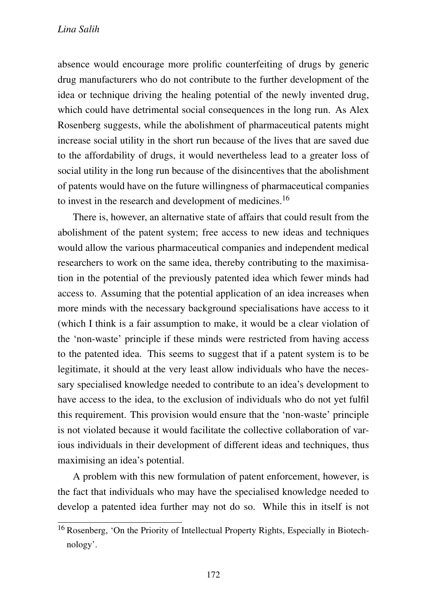absence would encourage more prolific counterfeiting of drugs by generic drug manufacturers who do not contribute to the further development of the idea or technique driving the healing potential of the newly invented drug, which could have detrimental social consequences in the long run. As Alex Rosenberg suggests, while the abolishment of pharmaceutical patents might increase social utility in the short run because of the lives that are saved due to the affordability of drugs, it would nevertheless lead to a greater loss of social utility in the long run because of the disincentives that the abolishment of patents would have on the future willingness of pharmaceutical companies to invest in the research and development of medicines.<sup>16</sup>

There is, however, an alternative state of affairs that could result from the abolishment of the patent system; free access to new ideas and techniques would allow the various pharmaceutical companies and independent medical researchers to work on the same idea, thereby contributing to the maximisation in the potential of the previously patented idea which fewer minds had access to. Assuming that the potential application of an idea increases when more minds with the necessary background specialisations have access to it (which I think is a fair assumption to make, it would be a clear violation of the 'non-waste' principle if these minds were restricted from having access to the patented idea. This seems to suggest that if a patent system is to be legitimate, it should at the very least allow individuals who have the necessary specialised knowledge needed to contribute to an idea's development to have access to the idea, to the exclusion of individuals who do not yet fulfil this requirement. This provision would ensure that the 'non-waste' principle is not violated because it would facilitate the collective collaboration of various individuals in their development of different ideas and techniques, thus maximising an idea's potential.

A problem with this new formulation of patent enforcement, however, is the fact that individuals who may have the specialised knowledge needed to develop a patented idea further may not do so. While this in itself is not

<sup>16</sup> Rosenberg, 'On the Priority of Intellectual Property Rights, Especially in Biotechnology'.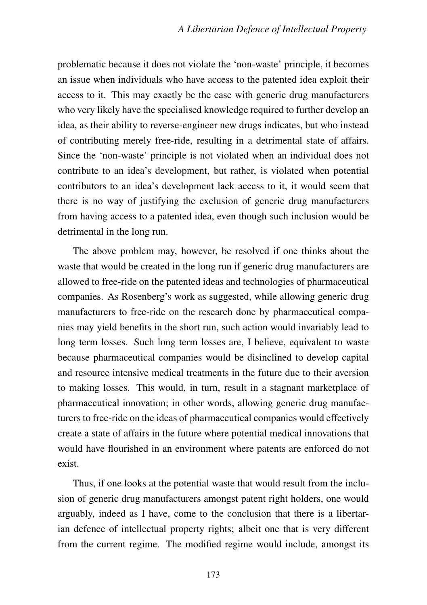problematic because it does not violate the 'non-waste' principle, it becomes an issue when individuals who have access to the patented idea exploit their access to it. This may exactly be the case with generic drug manufacturers who very likely have the specialised knowledge required to further develop an idea, as their ability to reverse-engineer new drugs indicates, but who instead of contributing merely free-ride, resulting in a detrimental state of affairs. Since the 'non-waste' principle is not violated when an individual does not contribute to an idea's development, but rather, is violated when potential contributors to an idea's development lack access to it, it would seem that there is no way of justifying the exclusion of generic drug manufacturers from having access to a patented idea, even though such inclusion would be detrimental in the long run.

The above problem may, however, be resolved if one thinks about the waste that would be created in the long run if generic drug manufacturers are allowed to free-ride on the patented ideas and technologies of pharmaceutical companies. As Rosenberg's work as suggested, while allowing generic drug manufacturers to free-ride on the research done by pharmaceutical companies may yield benefits in the short run, such action would invariably lead to long term losses. Such long term losses are, I believe, equivalent to waste because pharmaceutical companies would be disinclined to develop capital and resource intensive medical treatments in the future due to their aversion to making losses. This would, in turn, result in a stagnant marketplace of pharmaceutical innovation; in other words, allowing generic drug manufacturers to free-ride on the ideas of pharmaceutical companies would effectively create a state of affairs in the future where potential medical innovations that would have flourished in an environment where patents are enforced do not exist.

Thus, if one looks at the potential waste that would result from the inclusion of generic drug manufacturers amongst patent right holders, one would arguably, indeed as I have, come to the conclusion that there is a libertarian defence of intellectual property rights; albeit one that is very different from the current regime. The modified regime would include, amongst its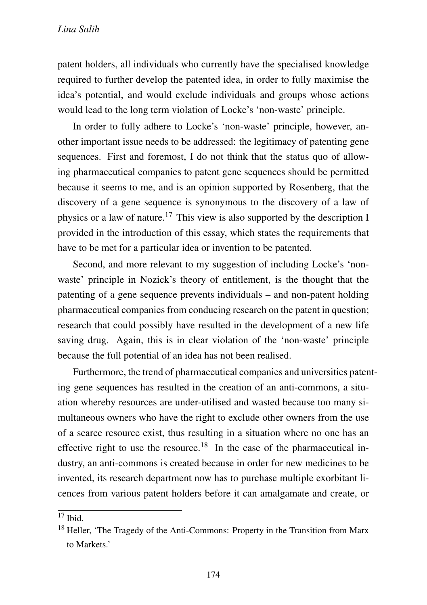patent holders, all individuals who currently have the specialised knowledge required to further develop the patented idea, in order to fully maximise the idea's potential, and would exclude individuals and groups whose actions would lead to the long term violation of Locke's 'non-waste' principle.

In order to fully adhere to Locke's 'non-waste' principle, however, another important issue needs to be addressed: the legitimacy of patenting gene sequences. First and foremost, I do not think that the status quo of allowing pharmaceutical companies to patent gene sequences should be permitted because it seems to me, and is an opinion supported by Rosenberg, that the discovery of a gene sequence is synonymous to the discovery of a law of physics or a law of nature.<sup>17</sup> This view is also supported by the description I provided in the introduction of this essay, which states the requirements that have to be met for a particular idea or invention to be patented.

Second, and more relevant to my suggestion of including Locke's 'nonwaste' principle in Nozick's theory of entitlement, is the thought that the patenting of a gene sequence prevents individuals – and non-patent holding pharmaceutical companies from conducing research on the patent in question; research that could possibly have resulted in the development of a new life saving drug. Again, this is in clear violation of the 'non-waste' principle because the full potential of an idea has not been realised.

Furthermore, the trend of pharmaceutical companies and universities patenting gene sequences has resulted in the creation of an anti-commons, a situation whereby resources are under-utilised and wasted because too many simultaneous owners who have the right to exclude other owners from the use of a scarce resource exist, thus resulting in a situation where no one has an effective right to use the resource.<sup>18</sup> In the case of the pharmaceutical industry, an anti-commons is created because in order for new medicines to be invented, its research department now has to purchase multiple exorbitant licences from various patent holders before it can amalgamate and create, or

 $17$  Ibid.

<sup>18</sup> Heller, 'The Tragedy of the Anti-Commons: Property in the Transition from Marx to Markets.'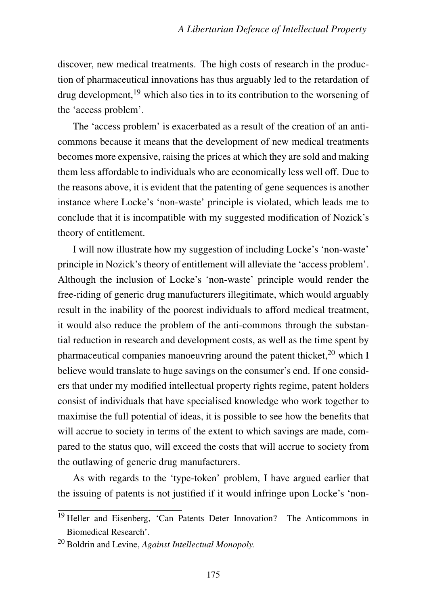discover, new medical treatments. The high costs of research in the production of pharmaceutical innovations has thus arguably led to the retardation of drug development, $19$  which also ties in to its contribution to the worsening of the 'access problem'.

The 'access problem' is exacerbated as a result of the creation of an anticommons because it means that the development of new medical treatments becomes more expensive, raising the prices at which they are sold and making them less affordable to individuals who are economically less well off. Due to the reasons above, it is evident that the patenting of gene sequences is another instance where Locke's 'non-waste' principle is violated, which leads me to conclude that it is incompatible with my suggested modification of Nozick's theory of entitlement.

I will now illustrate how my suggestion of including Locke's 'non-waste' principle in Nozick's theory of entitlement will alleviate the 'access problem'. Although the inclusion of Locke's 'non-waste' principle would render the free-riding of generic drug manufacturers illegitimate, which would arguably result in the inability of the poorest individuals to afford medical treatment, it would also reduce the problem of the anti-commons through the substantial reduction in research and development costs, as well as the time spent by pharmaceutical companies manoeuvring around the patent thicket.<sup>20</sup> which I believe would translate to huge savings on the consumer's end. If one considers that under my modified intellectual property rights regime, patent holders consist of individuals that have specialised knowledge who work together to maximise the full potential of ideas, it is possible to see how the benefits that will accrue to society in terms of the extent to which savings are made, compared to the status quo, will exceed the costs that will accrue to society from the outlawing of generic drug manufacturers.

As with regards to the 'type-token' problem, I have argued earlier that the issuing of patents is not justified if it would infringe upon Locke's 'non-

<sup>&</sup>lt;sup>19</sup> Heller and Eisenberg, 'Can Patents Deter Innovation? The Anticommons in Biomedical Research'.

<sup>20</sup> Boldrin and Levine, *Against Intellectual Monopoly.*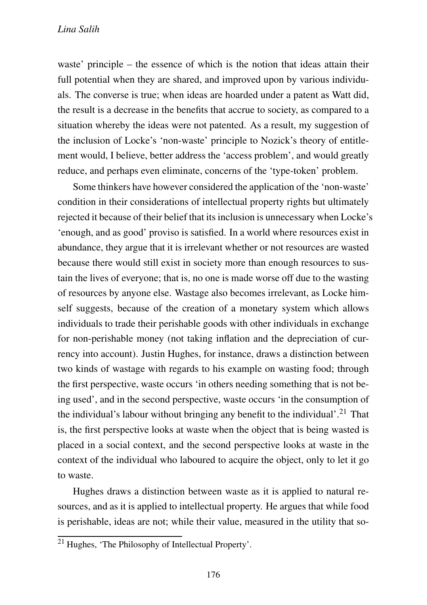waste' principle – the essence of which is the notion that ideas attain their full potential when they are shared, and improved upon by various individuals. The converse is true; when ideas are hoarded under a patent as Watt did, the result is a decrease in the benefits that accrue to society, as compared to a situation whereby the ideas were not patented. As a result, my suggestion of the inclusion of Locke's 'non-waste' principle to Nozick's theory of entitlement would, I believe, better address the 'access problem', and would greatly reduce, and perhaps even eliminate, concerns of the 'type-token' problem.

Some thinkers have however considered the application of the 'non-waste' condition in their considerations of intellectual property rights but ultimately rejected it because of their belief that its inclusion is unnecessary when Locke's 'enough, and as good' proviso is satisfied. In a world where resources exist in abundance, they argue that it is irrelevant whether or not resources are wasted because there would still exist in society more than enough resources to sustain the lives of everyone; that is, no one is made worse off due to the wasting of resources by anyone else. Wastage also becomes irrelevant, as Locke himself suggests, because of the creation of a monetary system which allows individuals to trade their perishable goods with other individuals in exchange for non-perishable money (not taking inflation and the depreciation of currency into account). Justin Hughes, for instance, draws a distinction between two kinds of wastage with regards to his example on wasting food; through the first perspective, waste occurs 'in others needing something that is not being used', and in the second perspective, waste occurs 'in the consumption of the individual's labour without bringing any benefit to the individual'.<sup>21</sup> That is, the first perspective looks at waste when the object that is being wasted is placed in a social context, and the second perspective looks at waste in the context of the individual who laboured to acquire the object, only to let it go to waste.

Hughes draws a distinction between waste as it is applied to natural resources, and as it is applied to intellectual property. He argues that while food is perishable, ideas are not; while their value, measured in the utility that so-

<sup>21</sup> Hughes, 'The Philosophy of Intellectual Property'.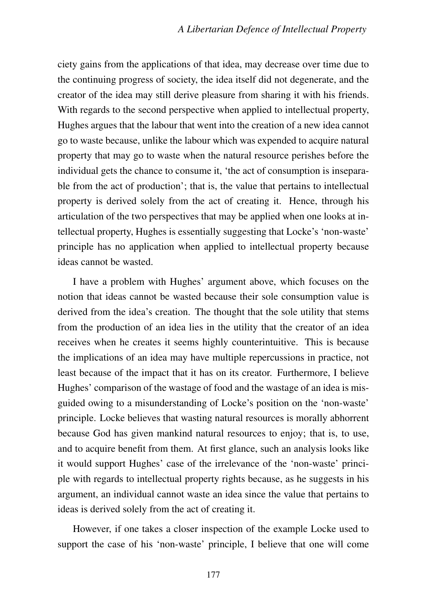ciety gains from the applications of that idea, may decrease over time due to the continuing progress of society, the idea itself did not degenerate, and the creator of the idea may still derive pleasure from sharing it with his friends. With regards to the second perspective when applied to intellectual property, Hughes argues that the labour that went into the creation of a new idea cannot go to waste because, unlike the labour which was expended to acquire natural property that may go to waste when the natural resource perishes before the individual gets the chance to consume it, 'the act of consumption is inseparable from the act of production'; that is, the value that pertains to intellectual property is derived solely from the act of creating it. Hence, through his articulation of the two perspectives that may be applied when one looks at intellectual property, Hughes is essentially suggesting that Locke's 'non-waste' principle has no application when applied to intellectual property because ideas cannot be wasted.

I have a problem with Hughes' argument above, which focuses on the notion that ideas cannot be wasted because their sole consumption value is derived from the idea's creation. The thought that the sole utility that stems from the production of an idea lies in the utility that the creator of an idea receives when he creates it seems highly counterintuitive. This is because the implications of an idea may have multiple repercussions in practice, not least because of the impact that it has on its creator. Furthermore, I believe Hughes' comparison of the wastage of food and the wastage of an idea is misguided owing to a misunderstanding of Locke's position on the 'non-waste' principle. Locke believes that wasting natural resources is morally abhorrent because God has given mankind natural resources to enjoy; that is, to use, and to acquire benefit from them. At first glance, such an analysis looks like it would support Hughes' case of the irrelevance of the 'non-waste' principle with regards to intellectual property rights because, as he suggests in his argument, an individual cannot waste an idea since the value that pertains to ideas is derived solely from the act of creating it.

However, if one takes a closer inspection of the example Locke used to support the case of his 'non-waste' principle, I believe that one will come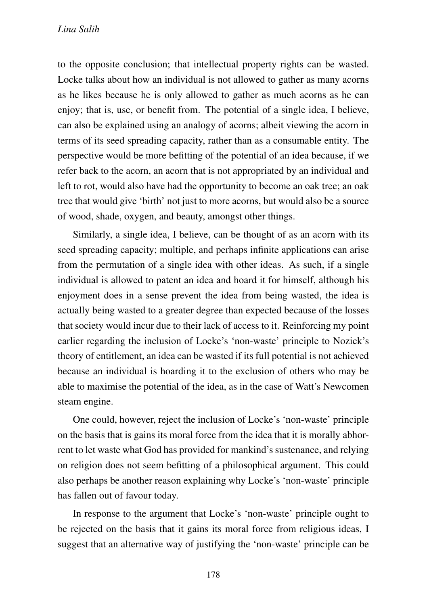to the opposite conclusion; that intellectual property rights can be wasted. Locke talks about how an individual is not allowed to gather as many acorns as he likes because he is only allowed to gather as much acorns as he can enjoy; that is, use, or benefit from. The potential of a single idea, I believe, can also be explained using an analogy of acorns; albeit viewing the acorn in terms of its seed spreading capacity, rather than as a consumable entity. The perspective would be more befitting of the potential of an idea because, if we refer back to the acorn, an acorn that is not appropriated by an individual and left to rot, would also have had the opportunity to become an oak tree; an oak tree that would give 'birth' not just to more acorns, but would also be a source of wood, shade, oxygen, and beauty, amongst other things.

Similarly, a single idea, I believe, can be thought of as an acorn with its seed spreading capacity; multiple, and perhaps infinite applications can arise from the permutation of a single idea with other ideas. As such, if a single individual is allowed to patent an idea and hoard it for himself, although his enjoyment does in a sense prevent the idea from being wasted, the idea is actually being wasted to a greater degree than expected because of the losses that society would incur due to their lack of access to it. Reinforcing my point earlier regarding the inclusion of Locke's 'non-waste' principle to Nozick's theory of entitlement, an idea can be wasted if its full potential is not achieved because an individual is hoarding it to the exclusion of others who may be able to maximise the potential of the idea, as in the case of Watt's Newcomen steam engine.

One could, however, reject the inclusion of Locke's 'non-waste' principle on the basis that is gains its moral force from the idea that it is morally abhorrent to let waste what God has provided for mankind's sustenance, and relying on religion does not seem befitting of a philosophical argument. This could also perhaps be another reason explaining why Locke's 'non-waste' principle has fallen out of favour today.

In response to the argument that Locke's 'non-waste' principle ought to be rejected on the basis that it gains its moral force from religious ideas, I suggest that an alternative way of justifying the 'non-waste' principle can be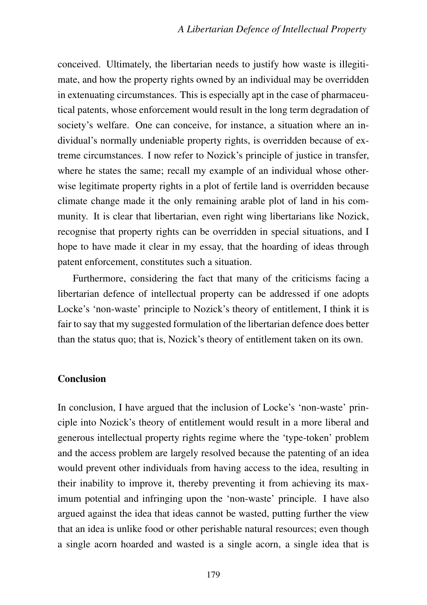conceived. Ultimately, the libertarian needs to justify how waste is illegitimate, and how the property rights owned by an individual may be overridden in extenuating circumstances. This is especially apt in the case of pharmaceutical patents, whose enforcement would result in the long term degradation of society's welfare. One can conceive, for instance, a situation where an individual's normally undeniable property rights, is overridden because of extreme circumstances. I now refer to Nozick's principle of justice in transfer, where he states the same; recall my example of an individual whose otherwise legitimate property rights in a plot of fertile land is overridden because climate change made it the only remaining arable plot of land in his community. It is clear that libertarian, even right wing libertarians like Nozick, recognise that property rights can be overridden in special situations, and I hope to have made it clear in my essay, that the hoarding of ideas through patent enforcement, constitutes such a situation.

Furthermore, considering the fact that many of the criticisms facing a libertarian defence of intellectual property can be addressed if one adopts Locke's 'non-waste' principle to Nozick's theory of entitlement, I think it is fair to say that my suggested formulation of the libertarian defence does better than the status quo; that is, Nozick's theory of entitlement taken on its own.

#### Conclusion

In conclusion, I have argued that the inclusion of Locke's 'non-waste' principle into Nozick's theory of entitlement would result in a more liberal and generous intellectual property rights regime where the 'type-token' problem and the access problem are largely resolved because the patenting of an idea would prevent other individuals from having access to the idea, resulting in their inability to improve it, thereby preventing it from achieving its maximum potential and infringing upon the 'non-waste' principle. I have also argued against the idea that ideas cannot be wasted, putting further the view that an idea is unlike food or other perishable natural resources; even though a single acorn hoarded and wasted is a single acorn, a single idea that is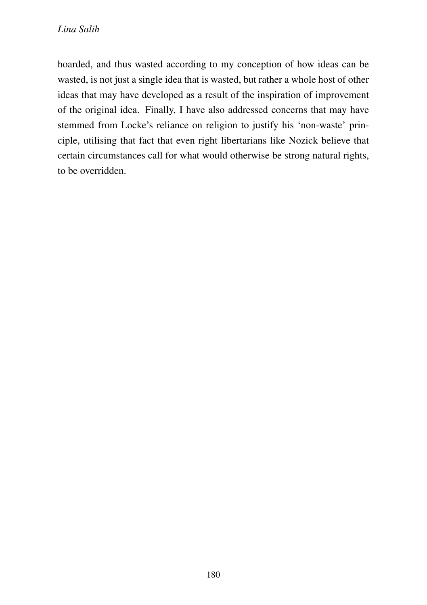hoarded, and thus wasted according to my conception of how ideas can be wasted, is not just a single idea that is wasted, but rather a whole host of other ideas that may have developed as a result of the inspiration of improvement of the original idea. Finally, I have also addressed concerns that may have stemmed from Locke's reliance on religion to justify his 'non-waste' principle, utilising that fact that even right libertarians like Nozick believe that certain circumstances call for what would otherwise be strong natural rights, to be overridden.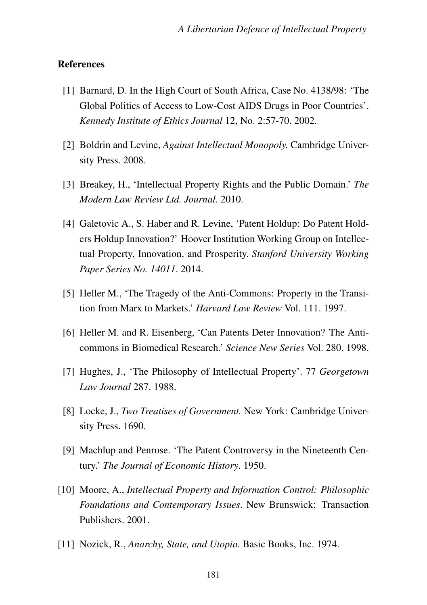#### **References**

- [1] Barnard, D. In the High Court of South Africa, Case No. 4138/98: 'The Global Politics of Access to Low-Cost AIDS Drugs in Poor Countries'. *Kennedy Institute of Ethics Journal* 12, No. 2:57-70. 2002.
- [2] Boldrin and Levine, *Against Intellectual Monopoly.* Cambridge University Press. 2008.
- [3] Breakey, H., 'Intellectual Property Rights and the Public Domain.' *The Modern Law Review Ltd. Journal.* 2010.
- [4] Galetovic A., S. Haber and R. Levine, 'Patent Holdup: Do Patent Holders Holdup Innovation?' Hoover Institution Working Group on Intellectual Property, Innovation, and Prosperity. *Stanford University Working Paper Series No. 14011*. 2014.
- [5] Heller M., 'The Tragedy of the Anti-Commons: Property in the Transition from Marx to Markets.' *Harvard Law Review* Vol. 111. 1997.
- [6] Heller M. and R. Eisenberg, 'Can Patents Deter Innovation? The Anticommons in Biomedical Research.' *Science New Series* Vol. 280. 1998.
- [7] Hughes, J., 'The Philosophy of Intellectual Property'. 77 *Georgetown Law Journal* 287. 1988.
- [8] Locke, J., *Two Treatises of Government.* New York: Cambridge University Press. 1690.
- [9] Machlup and Penrose. 'The Patent Controversy in the Nineteenth Century.' *The Journal of Economic History*. 1950.
- [10] Moore, A., *Intellectual Property and Information Control: Philosophic Foundations and Contemporary Issues*. New Brunswick: Transaction Publishers. 2001.
- [11] Nozick, R., *Anarchy, State, and Utopia.* Basic Books, Inc. 1974.